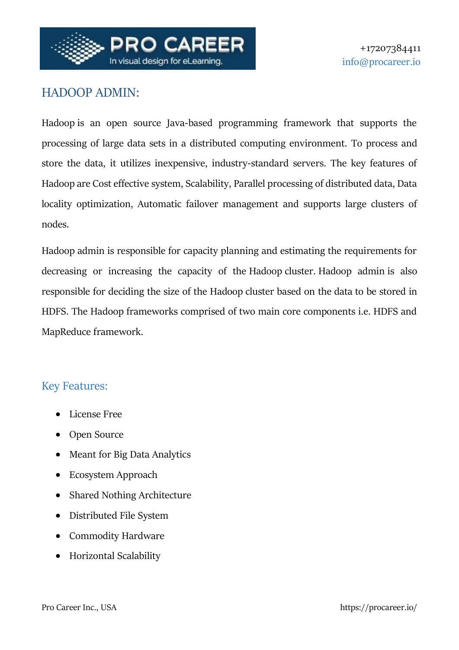

# HADOOP ADMIN:

[Hadoop](https://greycampus.com/blog/big-data/introduction-to-big-data-and-hadoop) is an open source Java‐based programming framework that supports the processing of large data sets in a distributed computing environment. To process and store the data, it utilizes inexpensive, industry‐standard servers. The key features of Hadoop are Cost effective system, Scalability, Parallel processing of distributed data, Data locality optimization, Automatic failover management and supports large clusters of nodes.

Hadoop admin is responsible for capacity planning and estimating the requirements for decreasing or increasing the capacity of the Hadoop cluster. Hadoop admin is also responsible for deciding the size of the Hadoop cluster based on the data to be stored in HDFS. The Hadoop frameworks comprised of two main core components i.e. HDFS and MapReduce framework.

## Key Features:

- License Free
- Open Source
- Meant for Big Data Analytics
- Ecosystem Approach
- Shared Nothing Architecture
- Distributed File System
- Commodity Hardware
- Horizontal Scalability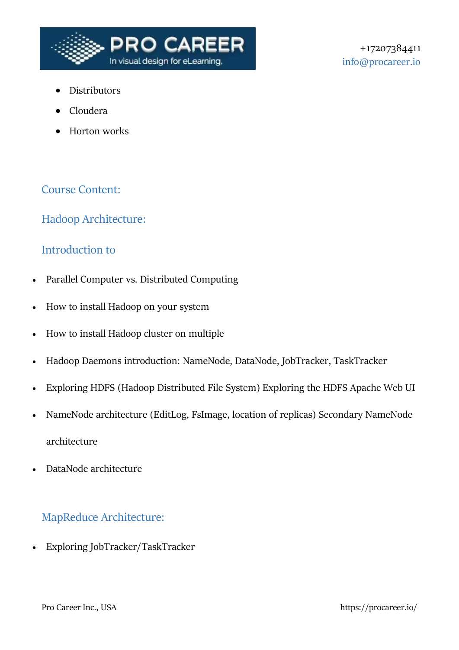

- Distributors
- Cloudera
- Horton works

## Course Content:

## Hadoop Architecture:

#### Introduction to

- Parallel Computer vs. Distributed Computing
- How to install Hadoop on your system
- How to install Hadoop cluster on multiple
- Hadoop Daemons introduction: NameNode, DataNode, JobTracker, TaskTracker
- Exploring HDFS (Hadoop Distributed File System) Exploring the HDFS Apache Web UI
- NameNode architecture (EditLog, FsImage, location of replicas) Secondary NameNode architecture
- DataNode architecture

## MapReduce Architecture:

Exploring JobTracker/TaskTracker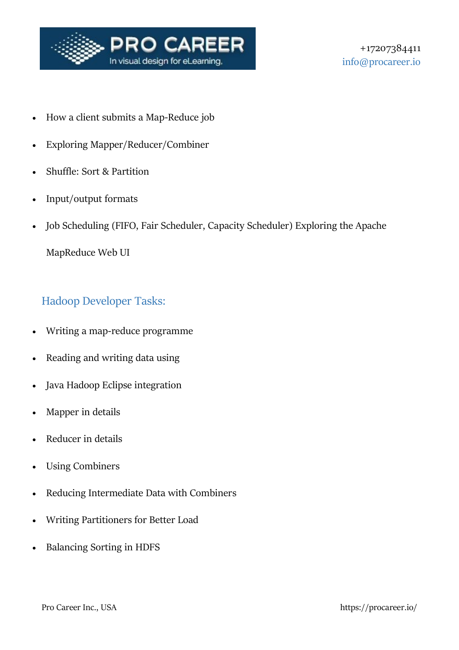

- How a client submits a Map-Reduce job
- Exploring Mapper/Reducer/Combiner
- Shuffle: Sort & Partition
- Input/output formats
- Job Scheduling (FIFO, Fair Scheduler, Capacity Scheduler) Exploring the Apache

MapReduce Web UI

# Hadoop Developer Tasks:

- Writing a map-reduce programme
- Reading and writing data using
- Java Hadoop Eclipse integration
- Mapper in details
- Reducer in details
- Using Combiners
- Reducing Intermediate Data with Combiners
- Writing Partitioners for Better Load
- Balancing Sorting in HDFS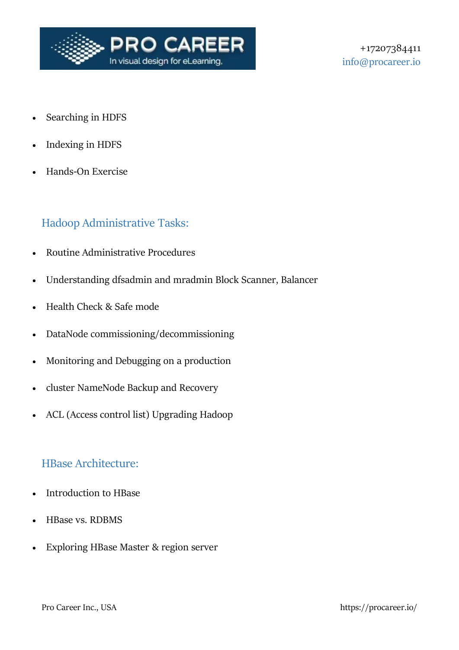

- Searching in HDFS
- Indexing in HDFS
- Hands-On Exercise

## Hadoop Administrative Tasks:

- Routine Administrative Procedures
- Understanding dfsadmin and mradmin Block Scanner, Balancer
- Health Check & Safe mode
- DataNode commissioning/decommissioning
- Monitoring and Debugging on a production
- cluster NameNode Backup and Recovery
- ACL (Access control list) Upgrading Hadoop

#### HBase Architecture:

- Introduction to HBase
- HBase vs. RDBMS
- Exploring HBase Master & region server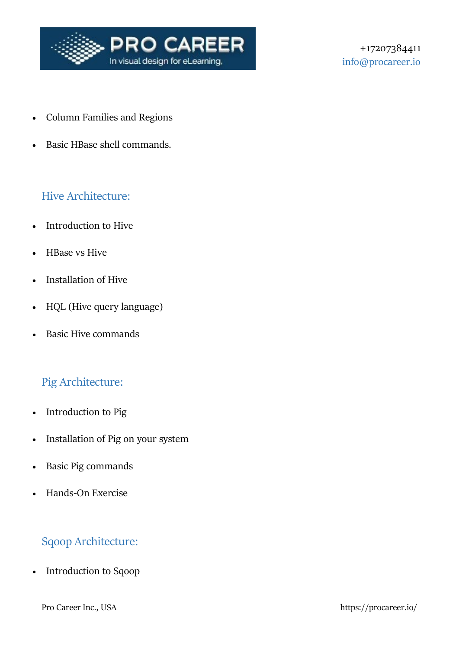

- Column Families and Regions
- Basic HBase shell commands.

# Hive Architecture:

- Introduction to Hive
- HBase vs Hive
- Installation of Hive
- HQL (Hive query language)
- Basic Hive commands

# Pig Architecture:

- Introduction to Pig
- Installation of Pig on your system
- Basic Pig commands
- Hands-On Exercise

# Sqoop Architecture:

• Introduction to Sqoop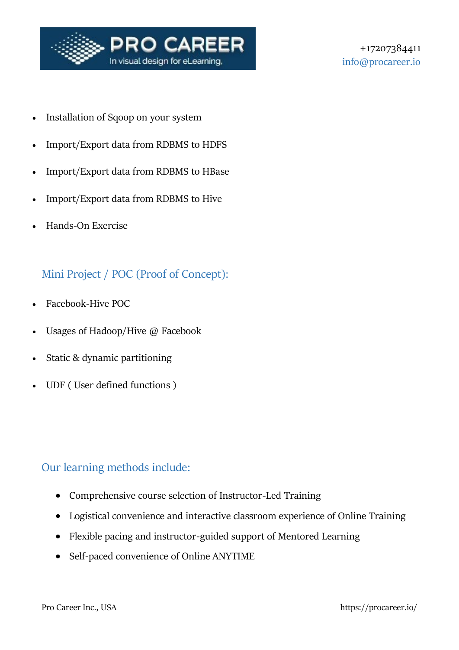

- Installation of Sqoop on your system
- Import/Export data from RDBMS to HDFS
- Import/Export data from RDBMS to HBase
- Import/Export data from RDBMS to Hive
- Hands-On Exercise

# Mini Project / POC (Proof of Concept):

- Facebook-Hive POC
- Usages of Hadoop/Hive @ Facebook
- Static & dynamic partitioning
- UDF ( User defined functions )

## Our learning methods include:

- Comprehensive course selection of Instructor-Led Training
- Logistical convenience and interactive classroom experience of Online Training
- Flexible pacing and instructor-guided support of Mentored Learning
- Self-paced convenience of Online ANYTIME